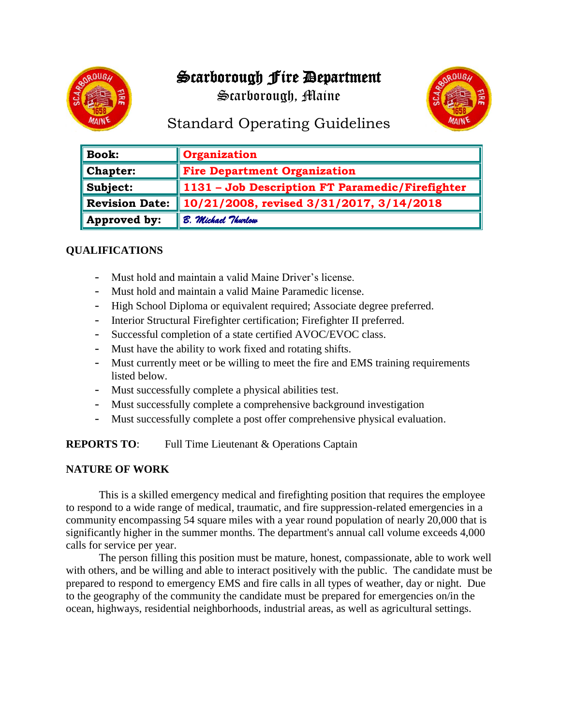# Scarborough Fire Department

Scarborough, Maine



# Standard Operating Guidelines

| <b>Book:</b>          | <b>Organization</b>                                         |
|-----------------------|-------------------------------------------------------------|
| <b>Chapter:</b>       | <b>Fire Department Organization</b>                         |
| Subject:              | $\parallel$ 1131 – Job Description FT Paramedic/Firefighter |
| <b>Revision Date:</b> | 10/21/2008, revised 3/31/2017, 3/14/2018                    |
| Approved by:          | B. Michael Thurlow                                          |

### **QUALIFICATIONS**

- Must hold and maintain a valid Maine Driver's license.
- Must hold and maintain a valid Maine Paramedic license.
- High School Diploma or equivalent required; Associate degree preferred.
- Interior Structural Firefighter certification; Firefighter II preferred.
- Successful completion of a state certified AVOC/EVOC class.
- Must have the ability to work fixed and rotating shifts.
- Must currently meet or be willing to meet the fire and EMS training requirements listed below.
- Must successfully complete a physical abilities test.
- Must successfully complete a comprehensive background investigation
- Must successfully complete a post offer comprehensive physical evaluation.

#### **REPORTS TO:** Full Time Lieutenant & Operations Captain

### **NATURE OF WORK**

This is a skilled emergency medical and firefighting position that requires the employee to respond to a wide range of medical, traumatic, and fire suppression-related emergencies in a community encompassing 54 square miles with a year round population of nearly 20,000 that is significantly higher in the summer months. The department's annual call volume exceeds 4,000 calls for service per year.

The person filling this position must be mature, honest, compassionate, able to work well with others, and be willing and able to interact positively with the public. The candidate must be prepared to respond to emergency EMS and fire calls in all types of weather, day or night. Due to the geography of the community the candidate must be prepared for emergencies on/in the ocean, highways, residential neighborhoods, industrial areas, as well as agricultural settings.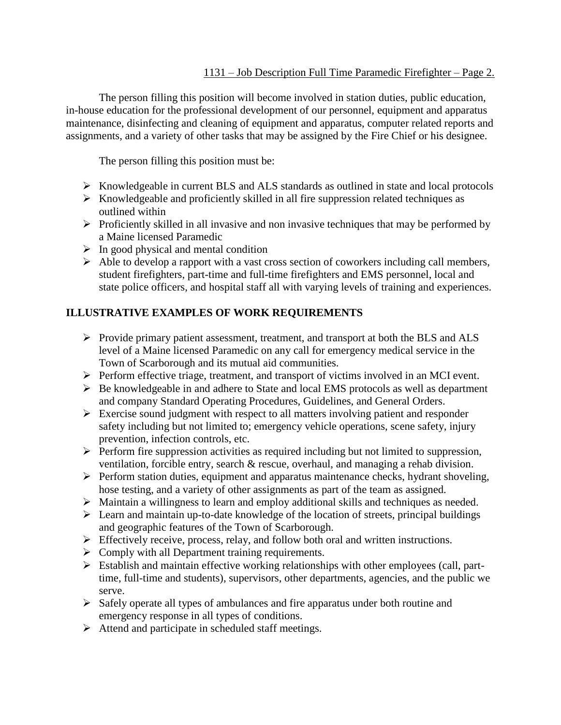#### 1131 – Job Description Full Time Paramedic Firefighter – Page 2.

The person filling this position will become involved in station duties, public education, in-house education for the professional development of our personnel, equipment and apparatus maintenance, disinfecting and cleaning of equipment and apparatus, computer related reports and assignments, and a variety of other tasks that may be assigned by the Fire Chief or his designee.

The person filling this position must be:

- ➢ Knowledgeable in current BLS and ALS standards as outlined in state and local protocols
- ➢ Knowledgeable and proficiently skilled in all fire suppression related techniques as outlined within
- ➢ Proficiently skilled in all invasive and non invasive techniques that may be performed by a Maine licensed Paramedic
- $\triangleright$  In good physical and mental condition
- ➢ Able to develop a rapport with a vast cross section of coworkers including call members, student firefighters, part-time and full-time firefighters and EMS personnel, local and state police officers, and hospital staff all with varying levels of training and experiences.

### **ILLUSTRATIVE EXAMPLES OF WORK REQUIREMENTS**

- ➢ Provide primary patient assessment, treatment, and transport at both the BLS and ALS level of a Maine licensed Paramedic on any call for emergency medical service in the Town of Scarborough and its mutual aid communities.
- ➢ Perform effective triage, treatment, and transport of victims involved in an MCI event.
- ➢ Be knowledgeable in and adhere to State and local EMS protocols as well as department and company Standard Operating Procedures, Guidelines, and General Orders.
- ➢ Exercise sound judgment with respect to all matters involving patient and responder safety including but not limited to; emergency vehicle operations, scene safety, injury prevention, infection controls, etc.
- ➢ Perform fire suppression activities as required including but not limited to suppression, ventilation, forcible entry, search & rescue, overhaul, and managing a rehab division.
- ➢ Perform station duties, equipment and apparatus maintenance checks, hydrant shoveling, hose testing, and a variety of other assignments as part of the team as assigned.
- ➢ Maintain a willingness to learn and employ additional skills and techniques as needed.
- ➢ Learn and maintain up-to-date knowledge of the location of streets, principal buildings and geographic features of the Town of Scarborough.
- ➢ Effectively receive, process, relay, and follow both oral and written instructions.
- ➢ Comply with all Department training requirements.
- ➢ Establish and maintain effective working relationships with other employees (call, parttime, full-time and students), supervisors, other departments, agencies, and the public we serve.
- ➢ Safely operate all types of ambulances and fire apparatus under both routine and emergency response in all types of conditions.
- ➢ Attend and participate in scheduled staff meetings.